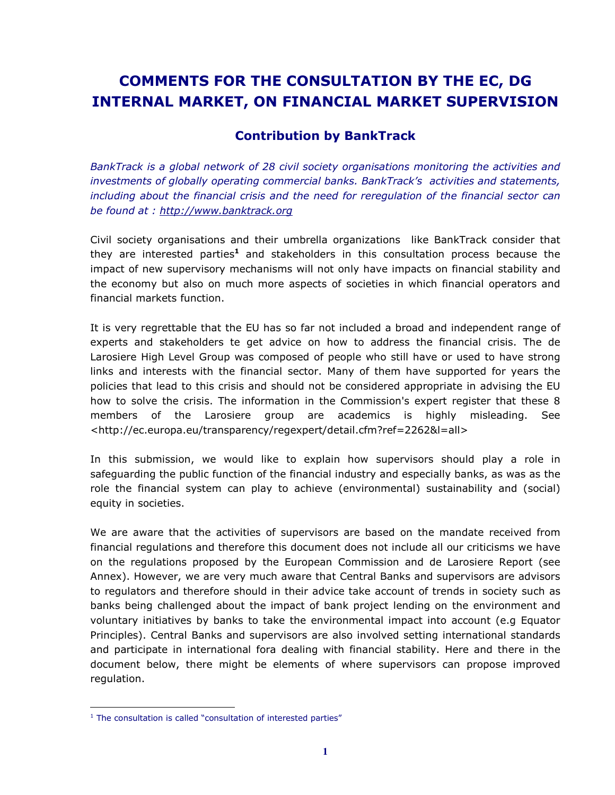# **COMMENTS FOR THE CONSULTATION BY THE EC, DG INTERNAL MARKET, ON FINANCIAL MARKET SUPERVISION**

## **Contribution by BankTrack**

*BankTrack is a global network of 28 civil society organisations monitoring the activities and investments of globally operating commercial banks. BankTrack's activities and statements, including about the financial crisis and the need for reregulation of the financial sector can be found at : http://www.banktrack.org*

Civil society organisations and their umbrella organizations like BankTrack consider that they are interested parties<sup>1</sup> and stakeholders in this consultation process because the impact of new supervisory mechanisms will not only have impacts on financial stability and the economy but also on much more aspects of societies in which financial operators and financial markets function.

It is very regrettable that the EU has so far not included a broad and independent range of experts and stakeholders te get advice on how to address the financial crisis. The de Larosiere High Level Group was composed of people who still have or used to have strong links and interests with the financial sector. Many of them have supported for years the policies that lead to this crisis and should not be considered appropriate in advising the EU how to solve the crisis. The information in the Commission's expert register that these 8 members of the Larosiere group are academics is highly misleading. See <http://ec.europa.eu/transparency/regexpert/detail.cfm?ref=2262&l=all>

In this submission, we would like to explain how supervisors should play a role in safeguarding the public function of the financial industry and especially banks, as was as the role the financial system can play to achieve (environmental) sustainability and (social) equity in societies.

We are aware that the activities of supervisors are based on the mandate received from financial regulations and therefore this document does not include all our criticisms we have on the regulations proposed by the European Commission and de Larosiere Report (see Annex). However, we are very much aware that Central Banks and supervisors are advisors to regulators and therefore should in their advice take account of trends in society such as banks being challenged about the impact of bank project lending on the environment and voluntary initiatives by banks to take the environmental impact into account (e.g Equator Principles). Central Banks and supervisors are also involved setting international standards and participate in international fora dealing with financial stability. Here and there in the document below, there might be elements of where supervisors can propose improved regulation.

 $\overline{a}$ 

<sup>&</sup>lt;sup>1</sup> The consultation is called "consultation of interested parties"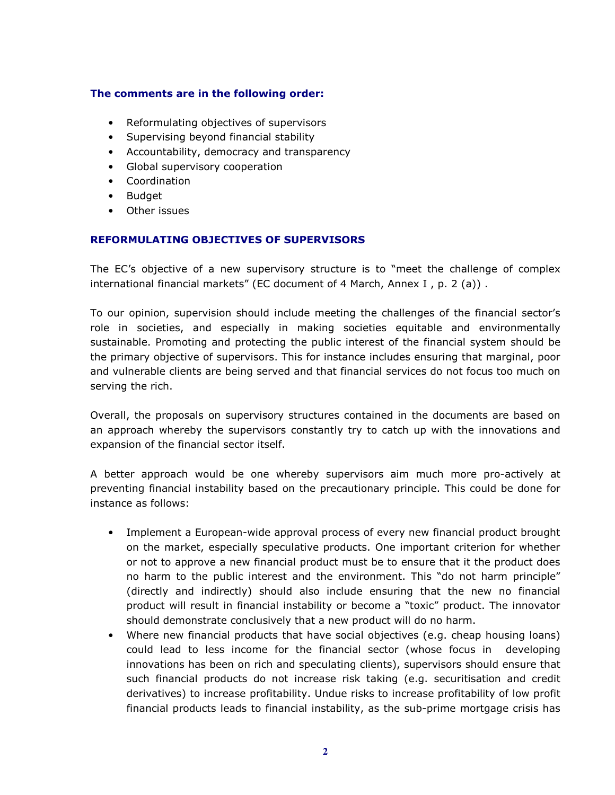## **The comments are in the following order:**

- Reformulating objectives of supervisors
- Supervising beyond financial stability
- Accountability, democracy and transparency
- Global supervisory cooperation
- Coordination
- Budget
- Other issues

### **REFORMULATING OBJECTIVES OF SUPERVISORS**

The EC's objective of a new supervisory structure is to "meet the challenge of complex international financial markets" (EC document of 4 March, Annex I , p. 2 (a)) .

To our opinion, supervision should include meeting the challenges of the financial sector's role in societies, and especially in making societies equitable and environmentally sustainable. Promoting and protecting the public interest of the financial system should be the primary objective of supervisors. This for instance includes ensuring that marginal, poor and vulnerable clients are being served and that financial services do not focus too much on serving the rich.

Overall, the proposals on supervisory structures contained in the documents are based on an approach whereby the supervisors constantly try to catch up with the innovations and expansion of the financial sector itself.

A better approach would be one whereby supervisors aim much more pro-actively at preventing financial instability based on the precautionary principle. This could be done for instance as follows:

- Implement a European-wide approval process of every new financial product brought on the market, especially speculative products. One important criterion for whether or not to approve a new financial product must be to ensure that it the product does no harm to the public interest and the environment. This "do not harm principle" (directly and indirectly) should also include ensuring that the new no financial product will result in financial instability or become a "toxic" product. The innovator should demonstrate conclusively that a new product will do no harm.
- Where new financial products that have social objectives (e.g. cheap housing loans) could lead to less income for the financial sector (whose focus in developing innovations has been on rich and speculating clients), supervisors should ensure that such financial products do not increase risk taking (e.g. securitisation and credit derivatives) to increase profitability. Undue risks to increase profitability of low profit financial products leads to financial instability, as the sub-prime mortgage crisis has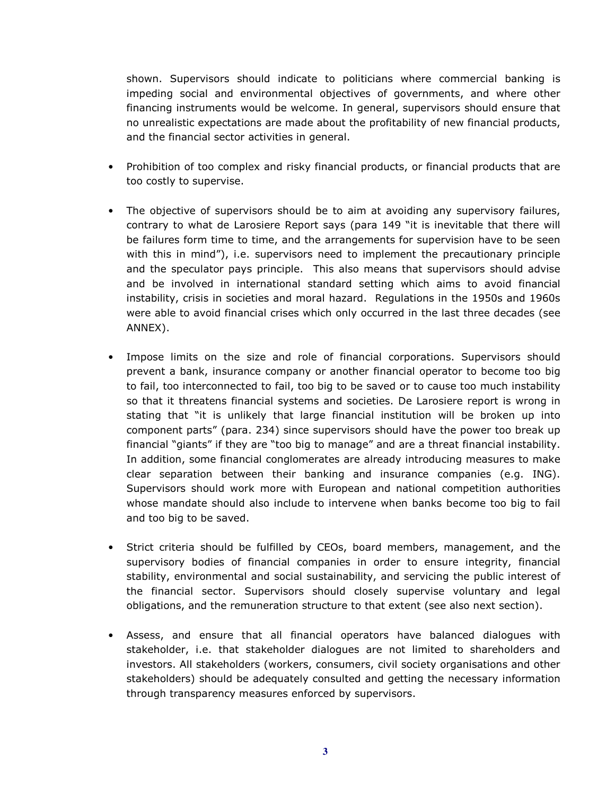shown. Supervisors should indicate to politicians where commercial banking is impeding social and environmental objectives of governments, and where other financing instruments would be welcome. In general, supervisors should ensure that no unrealistic expectations are made about the profitability of new financial products, and the financial sector activities in general.

- Prohibition of too complex and risky financial products, or financial products that are too costly to supervise.
- The objective of supervisors should be to aim at avoiding any supervisory failures, contrary to what de Larosiere Report says (para 149 "it is inevitable that there will be failures form time to time, and the arrangements for supervision have to be seen with this in mind"), i.e. supervisors need to implement the precautionary principle and the speculator pays principle. This also means that supervisors should advise and be involved in international standard setting which aims to avoid financial instability, crisis in societies and moral hazard. Regulations in the 1950s and 1960s were able to avoid financial crises which only occurred in the last three decades (see ANNEX).
- Impose limits on the size and role of financial corporations. Supervisors should prevent a bank, insurance company or another financial operator to become too big to fail, too interconnected to fail, too big to be saved or to cause too much instability so that it threatens financial systems and societies. De Larosiere report is wrong in stating that "it is unlikely that large financial institution will be broken up into component parts" (para. 234) since supervisors should have the power too break up financial "giants" if they are "too big to manage" and are a threat financial instability. In addition, some financial conglomerates are already introducing measures to make clear separation between their banking and insurance companies (e.g. ING). Supervisors should work more with European and national competition authorities whose mandate should also include to intervene when banks become too big to fail and too big to be saved.
- Strict criteria should be fulfilled by CEOs, board members, management, and the supervisory bodies of financial companies in order to ensure integrity, financial stability, environmental and social sustainability, and servicing the public interest of the financial sector. Supervisors should closely supervise voluntary and legal obligations, and the remuneration structure to that extent (see also next section).
- Assess, and ensure that all financial operators have balanced dialogues with stakeholder, i.e. that stakeholder dialogues are not limited to shareholders and investors. All stakeholders (workers, consumers, civil society organisations and other stakeholders) should be adequately consulted and getting the necessary information through transparency measures enforced by supervisors.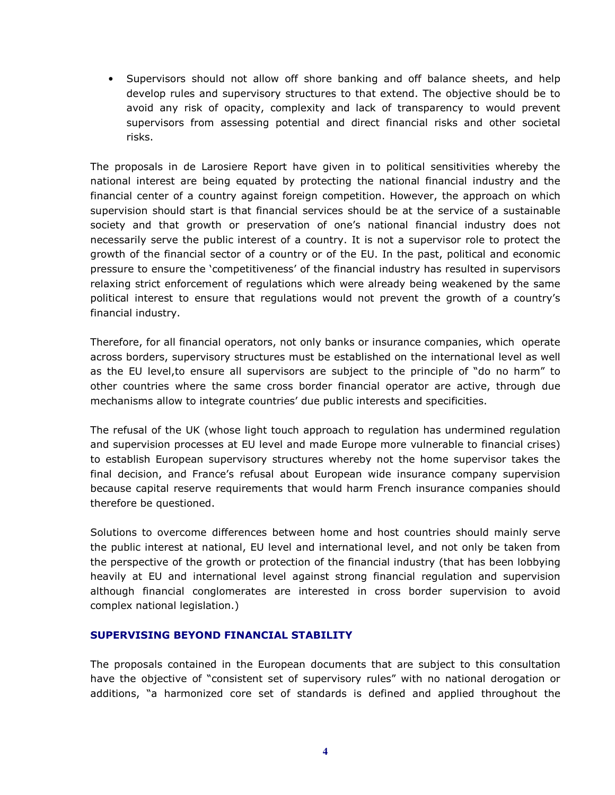• Supervisors should not allow off shore banking and off balance sheets, and help develop rules and supervisory structures to that extend. The objective should be to avoid any risk of opacity, complexity and lack of transparency to would prevent supervisors from assessing potential and direct financial risks and other societal risks.

The proposals in de Larosiere Report have given in to political sensitivities whereby the national interest are being equated by protecting the national financial industry and the financial center of a country against foreign competition. However, the approach on which supervision should start is that financial services should be at the service of a sustainable society and that growth or preservation of one's national financial industry does not necessarily serve the public interest of a country. It is not a supervisor role to protect the growth of the financial sector of a country or of the EU. In the past, political and economic pressure to ensure the 'competitiveness' of the financial industry has resulted in supervisors relaxing strict enforcement of regulations which were already being weakened by the same political interest to ensure that regulations would not prevent the growth of a country's financial industry.

Therefore, for all financial operators, not only banks or insurance companies, which operate across borders, supervisory structures must be established on the international level as well as the EU level,to ensure all supervisors are subject to the principle of "do no harm" to other countries where the same cross border financial operator are active, through due mechanisms allow to integrate countries' due public interests and specificities.

The refusal of the UK (whose light touch approach to regulation has undermined regulation and supervision processes at EU level and made Europe more vulnerable to financial crises) to establish European supervisory structures whereby not the home supervisor takes the final decision, and France's refusal about European wide insurance company supervision because capital reserve requirements that would harm French insurance companies should therefore be questioned.

Solutions to overcome differences between home and host countries should mainly serve the public interest at national, EU level and international level, and not only be taken from the perspective of the growth or protection of the financial industry (that has been lobbying heavily at EU and international level against strong financial regulation and supervision although financial conglomerates are interested in cross border supervision to avoid complex national legislation.)

## **SUPERVISING BEYOND FINANCIAL STABILITY**

The proposals contained in the European documents that are subject to this consultation have the objective of "consistent set of supervisory rules" with no national derogation or additions, "a harmonized core set of standards is defined and applied throughout the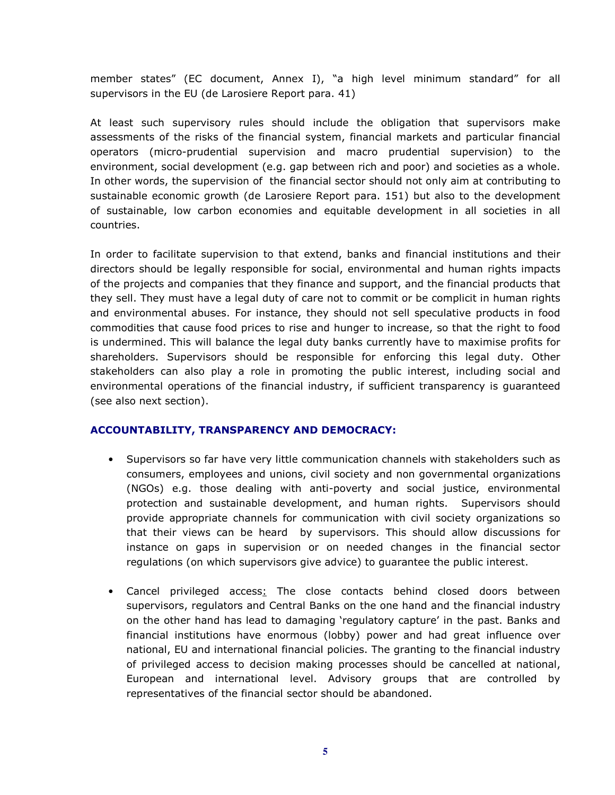member states" (EC document, Annex I), "a high level minimum standard" for all supervisors in the EU (de Larosiere Report para. 41)

At least such supervisory rules should include the obligation that supervisors make assessments of the risks of the financial system, financial markets and particular financial operators (micro-prudential supervision and macro prudential supervision) to the environment, social development (e.g. gap between rich and poor) and societies as a whole. In other words, the supervision of the financial sector should not only aim at contributing to sustainable economic growth (de Larosiere Report para. 151) but also to the development of sustainable, low carbon economies and equitable development in all societies in all countries.

In order to facilitate supervision to that extend, banks and financial institutions and their directors should be legally responsible for social, environmental and human rights impacts of the projects and companies that they finance and support, and the financial products that they sell. They must have a legal duty of care not to commit or be complicit in human rights and environmental abuses. For instance, they should not sell speculative products in food commodities that cause food prices to rise and hunger to increase, so that the right to food is undermined. This will balance the legal duty banks currently have to maximise profits for shareholders. Supervisors should be responsible for enforcing this legal duty. Other stakeholders can also play a role in promoting the public interest, including social and environmental operations of the financial industry, if sufficient transparency is guaranteed (see also next section).

#### **ACCOUNTABILITY, TRANSPARENCY AND DEMOCRACY:**

- Supervisors so far have very little communication channels with stakeholders such as consumers, employees and unions, civil society and non governmental organizations (NGOs) e.g. those dealing with anti-poverty and social justice, environmental protection and sustainable development, and human rights. Supervisors should provide appropriate channels for communication with civil society organizations so that their views can be heard by supervisors. This should allow discussions for instance on gaps in supervision or on needed changes in the financial sector regulations (on which supervisors give advice) to guarantee the public interest.
- Cancel privileged access: The close contacts behind closed doors between supervisors, regulators and Central Banks on the one hand and the financial industry on the other hand has lead to damaging 'regulatory capture' in the past. Banks and financial institutions have enormous (lobby) power and had great influence over national, EU and international financial policies. The granting to the financial industry of privileged access to decision making processes should be cancelled at national, European and international level. Advisory groups that are controlled by representatives of the financial sector should be abandoned.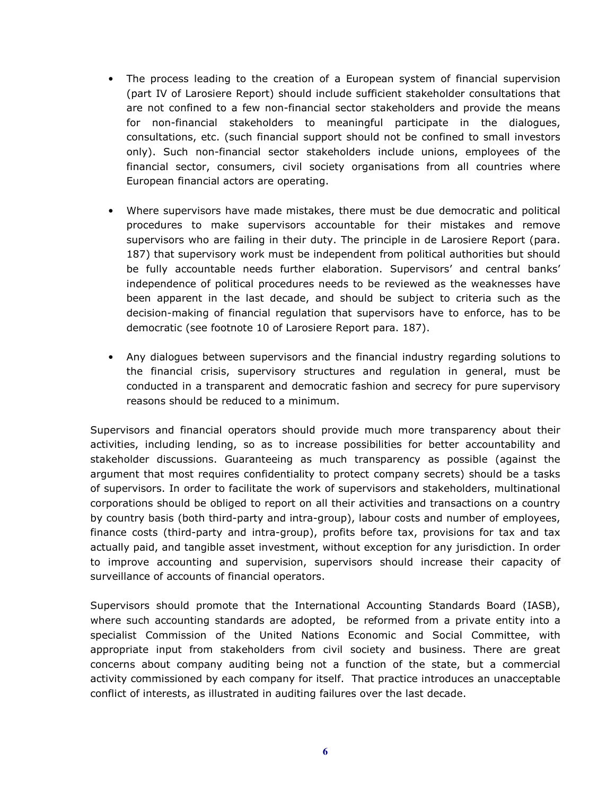- The process leading to the creation of a European system of financial supervision (part IV of Larosiere Report) should include sufficient stakeholder consultations that are not confined to a few non-financial sector stakeholders and provide the means for non-financial stakeholders to meaningful participate in the dialogues, consultations, etc. (such financial support should not be confined to small investors only). Such non-financial sector stakeholders include unions, employees of the financial sector, consumers, civil society organisations from all countries where European financial actors are operating.
- Where supervisors have made mistakes, there must be due democratic and political procedures to make supervisors accountable for their mistakes and remove supervisors who are failing in their duty. The principle in de Larosiere Report (para. 187) that supervisory work must be independent from political authorities but should be fully accountable needs further elaboration. Supervisors' and central banks' independence of political procedures needs to be reviewed as the weaknesses have been apparent in the last decade, and should be subject to criteria such as the decision-making of financial regulation that supervisors have to enforce, has to be democratic (see footnote 10 of Larosiere Report para. 187).
- Any dialogues between supervisors and the financial industry regarding solutions to the financial crisis, supervisory structures and regulation in general, must be conducted in a transparent and democratic fashion and secrecy for pure supervisory reasons should be reduced to a minimum.

Supervisors and financial operators should provide much more transparency about their activities, including lending, so as to increase possibilities for better accountability and stakeholder discussions. Guaranteeing as much transparency as possible (against the argument that most requires confidentiality to protect company secrets) should be a tasks of supervisors. In order to facilitate the work of supervisors and stakeholders, multinational corporations should be obliged to report on all their activities and transactions on a country by country basis (both third-party and intra-group), labour costs and number of employees, finance costs (third-party and intra-group), profits before tax, provisions for tax and tax actually paid, and tangible asset investment, without exception for any jurisdiction. In order to improve accounting and supervision, supervisors should increase their capacity of surveillance of accounts of financial operators.

Supervisors should promote that the International Accounting Standards Board (IASB), where such accounting standards are adopted, be reformed from a private entity into a specialist Commission of the United Nations Economic and Social Committee, with appropriate input from stakeholders from civil society and business. There are great concerns about company auditing being not a function of the state, but a commercial activity commissioned by each company for itself. That practice introduces an unacceptable conflict of interests, as illustrated in auditing failures over the last decade.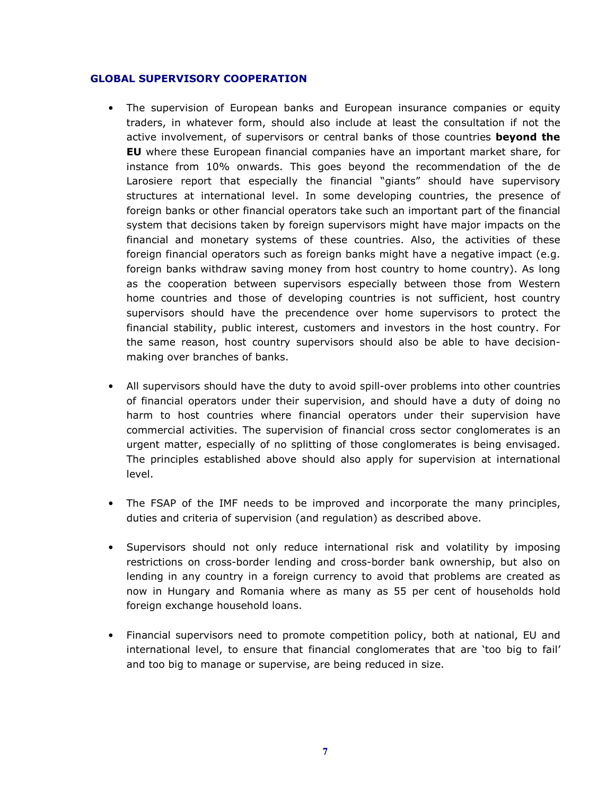#### **GLOBAL SUPERVISORY COOPERATION**

- The supervision of European banks and European insurance companies or equity traders, in whatever form, should also include at least the consultation if not the active involvement, of supervisors or central banks of those countries **beyond the EU** where these European financial companies have an important market share, for instance from 10% onwards. This goes beyond the recommendation of the de Larosiere report that especially the financial "giants" should have supervisory structures at international level. In some developing countries, the presence of foreign banks or other financial operators take such an important part of the financial system that decisions taken by foreign supervisors might have major impacts on the financial and monetary systems of these countries. Also, the activities of these foreign financial operators such as foreign banks might have a negative impact (e.g. foreign banks withdraw saving money from host country to home country). As long as the cooperation between supervisors especially between those from Western home countries and those of developing countries is not sufficient, host country supervisors should have the precendence over home supervisors to protect the financial stability, public interest, customers and investors in the host country. For the same reason, host country supervisors should also be able to have decisionmaking over branches of banks.
- All supervisors should have the duty to avoid spill-over problems into other countries of financial operators under their supervision, and should have a duty of doing no harm to host countries where financial operators under their supervision have commercial activities. The supervision of financial cross sector conglomerates is an urgent matter, especially of no splitting of those conglomerates is being envisaged. The principles established above should also apply for supervision at international level.
- The FSAP of the IMF needs to be improved and incorporate the many principles, duties and criteria of supervision (and regulation) as described above.
- Supervisors should not only reduce international risk and volatility by imposing restrictions on cross-border lending and cross-border bank ownership, but also on lending in any country in a foreign currency to avoid that problems are created as now in Hungary and Romania where as many as 55 per cent of households hold foreign exchange household loans.
- Financial supervisors need to promote competition policy, both at national, EU and international level, to ensure that financial conglomerates that are 'too big to fail' and too big to manage or supervise, are being reduced in size.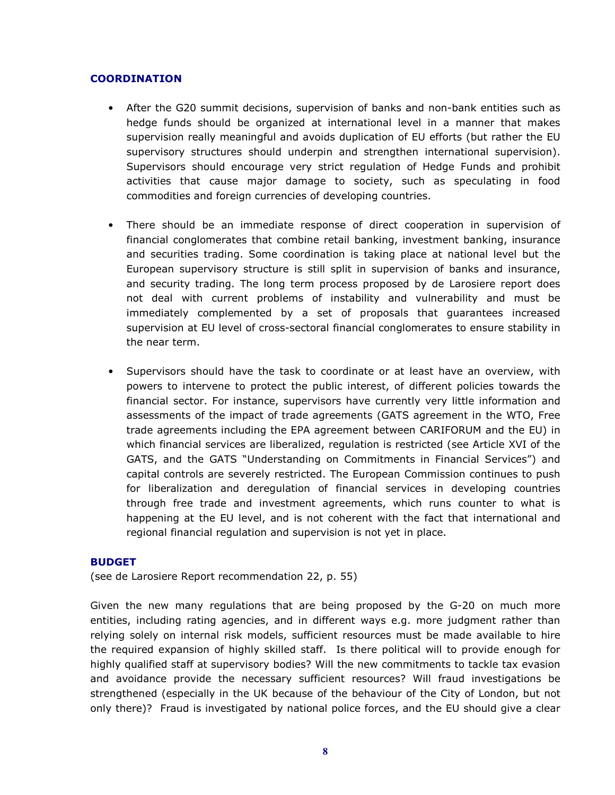#### **COORDINATION**

- After the G20 summit decisions, supervision of banks and non-bank entities such as hedge funds should be organized at international level in a manner that makes supervision really meaningful and avoids duplication of EU efforts (but rather the EU supervisory structures should underpin and strengthen international supervision). Supervisors should encourage very strict regulation of Hedge Funds and prohibit activities that cause major damage to society, such as speculating in food commodities and foreign currencies of developing countries.
- There should be an immediate response of direct cooperation in supervision of financial conglomerates that combine retail banking, investment banking, insurance and securities trading. Some coordination is taking place at national level but the European supervisory structure is still split in supervision of banks and insurance, and security trading. The long term process proposed by de Larosiere report does not deal with current problems of instability and vulnerability and must be immediately complemented by a set of proposals that guarantees increased supervision at EU level of cross-sectoral financial conglomerates to ensure stability in the near term.
- Supervisors should have the task to coordinate or at least have an overview, with powers to intervene to protect the public interest, of different policies towards the financial sector. For instance, supervisors have currently very little information and assessments of the impact of trade agreements (GATS agreement in the WTO, Free trade agreements including the EPA agreement between CARIFORUM and the EU) in which financial services are liberalized, regulation is restricted (see Article XVI of the GATS, and the GATS "Understanding on Commitments in Financial Services") and capital controls are severely restricted. The European Commission continues to push for liberalization and deregulation of financial services in developing countries through free trade and investment agreements, which runs counter to what is happening at the EU level, and is not coherent with the fact that international and regional financial regulation and supervision is not yet in place.

#### **BUDGET**

(see de Larosiere Report recommendation 22, p. 55)

Given the new many regulations that are being proposed by the G-20 on much more entities, including rating agencies, and in different ways e.g. more judgment rather than relying solely on internal risk models, sufficient resources must be made available to hire the required expansion of highly skilled staff. Is there political will to provide enough for highly qualified staff at supervisory bodies? Will the new commitments to tackle tax evasion and avoidance provide the necessary sufficient resources? Will fraud investigations be strengthened (especially in the UK because of the behaviour of the City of London, but not only there)? Fraud is investigated by national police forces, and the EU should give a clear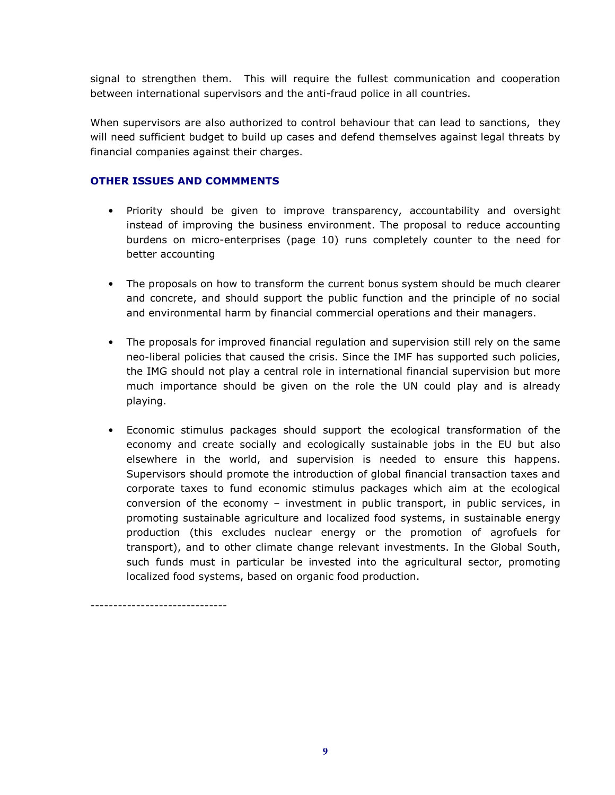signal to strengthen them. This will require the fullest communication and cooperation between international supervisors and the anti-fraud police in all countries.

When supervisors are also authorized to control behaviour that can lead to sanctions, they will need sufficient budget to build up cases and defend themselves against legal threats by financial companies against their charges.

## **OTHER ISSUES AND COMMMENTS**

------------------------------

- Priority should be given to improve transparency, accountability and oversight instead of improving the business environment. The proposal to reduce accounting burdens on micro-enterprises (page 10) runs completely counter to the need for better accounting
- The proposals on how to transform the current bonus system should be much clearer and concrete, and should support the public function and the principle of no social and environmental harm by financial commercial operations and their managers.
- The proposals for improved financial regulation and supervision still rely on the same neo-liberal policies that caused the crisis. Since the IMF has supported such policies, the IMG should not play a central role in international financial supervision but more much importance should be given on the role the UN could play and is already playing.
- Economic stimulus packages should support the ecological transformation of the economy and create socially and ecologically sustainable jobs in the EU but also elsewhere in the world, and supervision is needed to ensure this happens. Supervisors should promote the introduction of global financial transaction taxes and corporate taxes to fund economic stimulus packages which aim at the ecological conversion of the economy – investment in public transport, in public services, in promoting sustainable agriculture and localized food systems, in sustainable energy production (this excludes nuclear energy or the promotion of agrofuels for transport), and to other climate change relevant investments. In the Global South, such funds must in particular be invested into the agricultural sector, promoting localized food systems, based on organic food production.

**9**